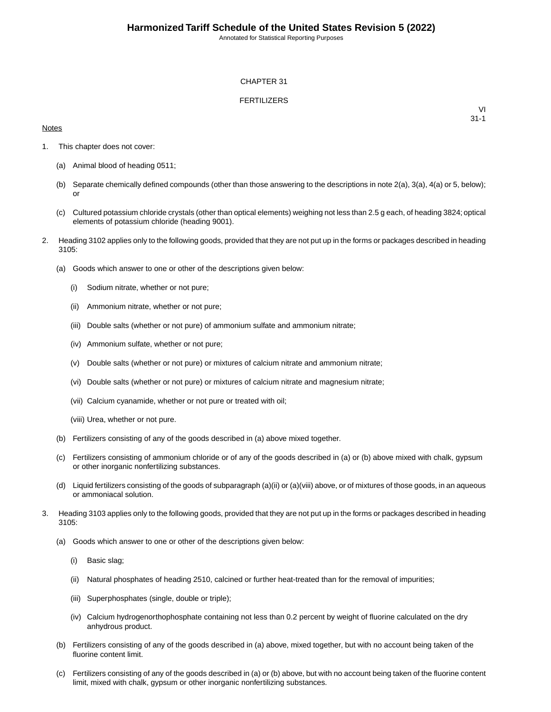Annotated for Statistical Reporting Purposes

### CHAPTER 31

### FERTILIZERS

### **Notes**

VI 31-1

- 1. This chapter does not cover:
	- (a) Animal blood of heading 0511;
	- (b) Separate chemically defined compounds (other than those answering to the descriptions in note 2(a), 3(a), 4(a) or 5, below); or
	- (c) Cultured potassium chloride crystals (other than optical elements) weighing not less than 2.5 g each, of heading 3824; optical elements of potassium chloride (heading 9001).
- 2. Heading 3102 applies only to the following goods, provided that they are not put up in the forms or packages described in heading 3105:
	- (a) Goods which answer to one or other of the descriptions given below:
		- (i) Sodium nitrate, whether or not pure;
		- (ii) Ammonium nitrate, whether or not pure;
		- (iii) Double salts (whether or not pure) of ammonium sulfate and ammonium nitrate;
		- (iv) Ammonium sulfate, whether or not pure;
		- (v) Double salts (whether or not pure) or mixtures of calcium nitrate and ammonium nitrate;
		- (vi) Double salts (whether or not pure) or mixtures of calcium nitrate and magnesium nitrate;
		- (vii) Calcium cyanamide, whether or not pure or treated with oil;
		- (viii) Urea, whether or not pure.
	- (b) Fertilizers consisting of any of the goods described in (a) above mixed together.
	- (c) Fertilizers consisting of ammonium chloride or of any of the goods described in (a) or (b) above mixed with chalk, gypsum or other inorganic nonfertilizing substances.
	- (d) Liquid fertilizers consisting of the goods of subparagraph (a)(ii) or (a)(viii) above, or of mixtures of those goods, in an aqueous or ammoniacal solution.
- 3. Heading 3103 applies only to the following goods, provided that they are not put up in the forms or packages described in heading 3105:
	- (a) Goods which answer to one or other of the descriptions given below:
		- (i) Basic slag;
		- (ii) Natural phosphates of heading 2510, calcined or further heat-treated than for the removal of impurities;
		- (iii) Superphosphates (single, double or triple);
		- (iv) Calcium hydrogenorthophosphate containing not less than 0.2 percent by weight of fluorine calculated on the dry anhydrous product.
	- (b) Fertilizers consisting of any of the goods described in (a) above, mixed together, but with no account being taken of the fluorine content limit.
	- (c) Fertilizers consisting of any of the goods described in (a) or (b) above, but with no account being taken of the fluorine content limit, mixed with chalk, gypsum or other inorganic nonfertilizing substances.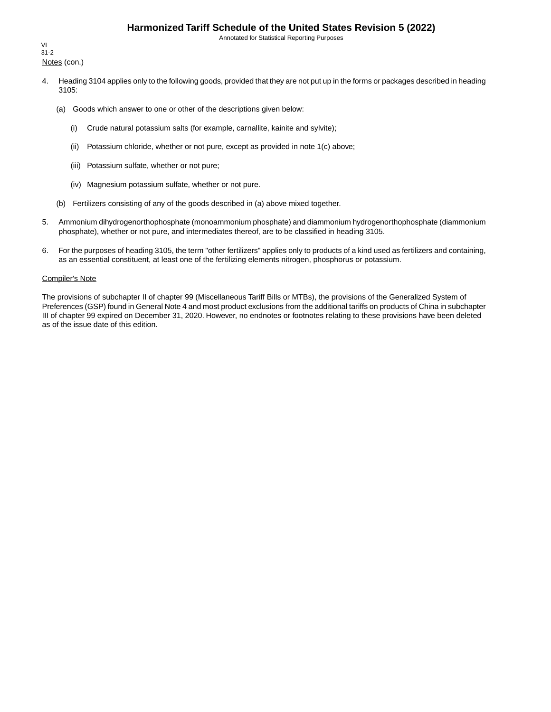## **Harmonized Tariff Schedule of the United States Revision 5 (2022)**

Annotated for Statistical Reporting Purposes

Notes (con.) VI 31-2

- 4. Heading 3104 applies only to the following goods, provided that they are not put up in the forms or packages described in heading 3105:
	- (a) Goods which answer to one or other of the descriptions given below:
		- (i) Crude natural potassium salts (for example, carnallite, kainite and sylvite);
		- (ii) Potassium chloride, whether or not pure, except as provided in note 1(c) above;
		- (iii) Potassium sulfate, whether or not pure;
		- (iv) Magnesium potassium sulfate, whether or not pure.
	- (b) Fertilizers consisting of any of the goods described in (a) above mixed together.
- 5. Ammonium dihydrogenorthophosphate (monoammonium phosphate) and diammonium hydrogenorthophosphate (diammonium phosphate), whether or not pure, and intermediates thereof, are to be classified in heading 3105.
- 6. For the purposes of heading 3105, the term "other fertilizers" applies only to products of a kind used as fertilizers and containing, as an essential constituent, at least one of the fertilizing elements nitrogen, phosphorus or potassium.

#### Compiler's Note

The provisions of subchapter II of chapter 99 (Miscellaneous Tariff Bills or MTBs), the provisions of the Generalized System of Preferences (GSP) found in General Note 4 and most product exclusions from the additional tariffs on products of China in subchapter III of chapter 99 expired on December 31, 2020. However, no endnotes or footnotes relating to these provisions have been deleted as of the issue date of this edition.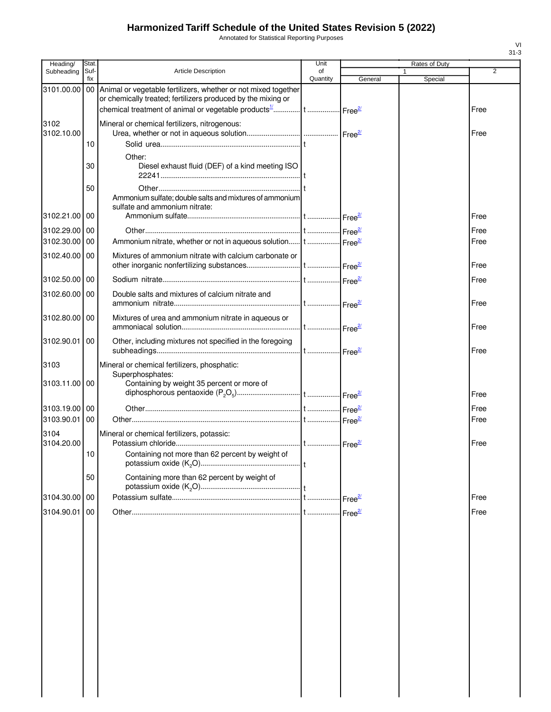# **Harmonized Tariff Schedule of the United States Revision 5 (2022)**

Annotated for Statistical Reporting Purposes

| Heading/      | Stat.       |                                                                           | Unit           |         | Rates of Duty |                |
|---------------|-------------|---------------------------------------------------------------------------|----------------|---------|---------------|----------------|
| Subheading    | Suf-<br>fix | <b>Article Description</b>                                                | of<br>Quantity | General |               | $\overline{2}$ |
| 3101.00.00    |             | 00 Animal or vegetable fertilizers, whether or not mixed together         |                |         | Special       |                |
|               |             | or chemically treated; fertilizers produced by the mixing or              |                |         |               |                |
|               |             |                                                                           |                |         |               | Free           |
| 3102          |             | Mineral or chemical fertilizers, nitrogenous:                             |                |         |               |                |
| 3102.10.00    |             |                                                                           |                |         |               | Free           |
|               | 10          |                                                                           |                |         |               |                |
|               |             | Other:                                                                    |                |         |               |                |
|               | 30          | Diesel exhaust fluid (DEF) of a kind meeting ISO                          |                |         |               |                |
|               |             |                                                                           |                |         |               |                |
|               | 50          |                                                                           |                |         |               |                |
|               |             | Ammonium sulfate; double salts and mixtures of ammonium                   |                |         |               |                |
| 3102.21.00 00 |             | sulfate and ammonium nitrate:                                             |                |         |               | Free           |
|               |             |                                                                           |                |         |               |                |
| 3102.29.00 00 |             |                                                                           |                |         |               | Free           |
| 3102.30.00    | 00          | Ammonium nitrate, whether or not in aqueous solution t  Free <sup>2</sup> |                |         |               | Free           |
| 3102.40.00 00 |             | Mixtures of ammonium nitrate with calcium carbonate or                    |                |         |               |                |
|               |             |                                                                           |                |         |               | Free           |
| 3102.50.00 00 |             |                                                                           |                |         |               | Free           |
| 3102.60.00 00 |             | Double salts and mixtures of calcium nitrate and                          |                |         |               |                |
|               |             |                                                                           |                |         |               | Free           |
| 3102.80.00 00 |             | Mixtures of urea and ammonium nitrate in aqueous or                       |                |         |               |                |
|               |             |                                                                           |                |         |               | Free           |
| 3102.90.01 00 |             | Other, including mixtures not specified in the foregoing                  |                |         |               |                |
|               |             |                                                                           |                |         |               | Free           |
| 3103          |             | Mineral or chemical fertilizers, phosphatic:                              |                |         |               |                |
|               |             | Superphosphates:                                                          |                |         |               |                |
| 3103.11.00 00 |             | Containing by weight 35 percent or more of                                |                |         |               |                |
|               |             |                                                                           |                |         |               | Free           |
| 3103.19.00 00 |             |                                                                           |                |         |               | Free           |
| 3103.90.01    | 00          |                                                                           |                |         |               | Free           |
| 3104          |             | Mineral or chemical fertilizers, potassic:                                |                |         |               |                |
| 3104.20.00    |             |                                                                           |                |         |               | Free           |
|               | 10          | Containing not more than 62 percent by weight of                          |                |         |               |                |
|               |             |                                                                           |                |         |               |                |
|               | 50          | Containing more than 62 percent by weight of                              |                |         |               |                |
|               |             |                                                                           |                |         |               |                |
| 3104.30.00 00 |             |                                                                           |                |         |               | Free           |
| 3104.90.01    | 00          |                                                                           |                |         |               | Free           |
|               |             |                                                                           |                |         |               |                |
|               |             |                                                                           |                |         |               |                |
|               |             |                                                                           |                |         |               |                |
|               |             |                                                                           |                |         |               |                |
|               |             |                                                                           |                |         |               |                |
|               |             |                                                                           |                |         |               |                |
|               |             |                                                                           |                |         |               |                |
|               |             |                                                                           |                |         |               |                |
|               |             |                                                                           |                |         |               |                |
|               |             |                                                                           |                |         |               |                |
|               |             |                                                                           |                |         |               |                |
|               |             |                                                                           |                |         |               |                |
|               |             |                                                                           |                |         |               |                |
|               |             |                                                                           |                |         |               |                |
|               |             |                                                                           |                |         |               |                |
|               |             |                                                                           |                |         |               |                |

VI 31-3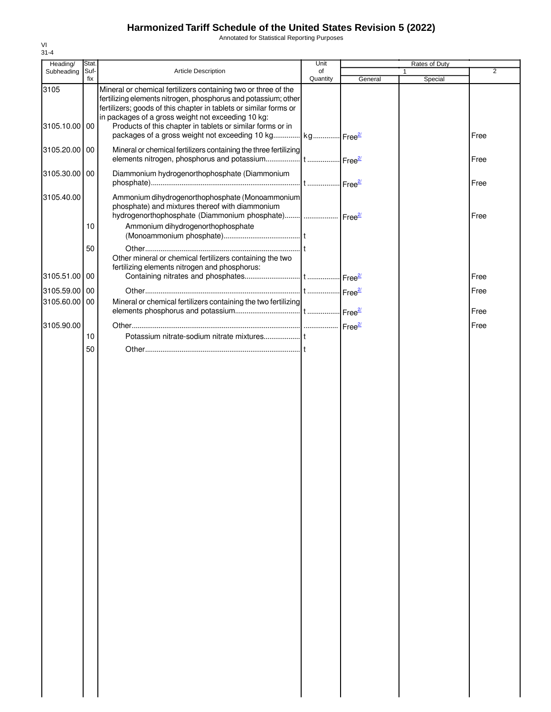# **Harmonized Tariff Schedule of the United States Revision 5 (2022)**

Annotated for Statistical Reporting Purposes

| Stat. |                                                                                                                                     | Unit                                                                                                                                                                                                                          |                                                                                                                                                                                                                                                               | Rates of Duty                                                                                                                               |              |
|-------|-------------------------------------------------------------------------------------------------------------------------------------|-------------------------------------------------------------------------------------------------------------------------------------------------------------------------------------------------------------------------------|---------------------------------------------------------------------------------------------------------------------------------------------------------------------------------------------------------------------------------------------------------------|---------------------------------------------------------------------------------------------------------------------------------------------|--------------|
| fix   |                                                                                                                                     | Quantity                                                                                                                                                                                                                      | General                                                                                                                                                                                                                                                       |                                                                                                                                             | 2            |
| 00    | Mineral or chemical fertilizers containing two or three of the<br>fertilizers; goods of this chapter in tablets or similar forms or |                                                                                                                                                                                                                               |                                                                                                                                                                                                                                                               |                                                                                                                                             |              |
|       |                                                                                                                                     |                                                                                                                                                                                                                               |                                                                                                                                                                                                                                                               |                                                                                                                                             | Free         |
| 00    |                                                                                                                                     |                                                                                                                                                                                                                               |                                                                                                                                                                                                                                                               |                                                                                                                                             | Free         |
| 00    |                                                                                                                                     |                                                                                                                                                                                                                               |                                                                                                                                                                                                                                                               |                                                                                                                                             | Free         |
|       | phosphate) and mixtures thereof with diammonium                                                                                     |                                                                                                                                                                                                                               |                                                                                                                                                                                                                                                               |                                                                                                                                             | Free         |
| 10    |                                                                                                                                     |                                                                                                                                                                                                                               |                                                                                                                                                                                                                                                               |                                                                                                                                             |              |
| 50    | Other mineral or chemical fertilizers containing the two<br>fertilizing elements nitrogen and phosphorus:                           |                                                                                                                                                                                                                               |                                                                                                                                                                                                                                                               |                                                                                                                                             |              |
| 00    |                                                                                                                                     |                                                                                                                                                                                                                               |                                                                                                                                                                                                                                                               |                                                                                                                                             | Free         |
| 00    |                                                                                                                                     |                                                                                                                                                                                                                               |                                                                                                                                                                                                                                                               |                                                                                                                                             | Free         |
| 00    |                                                                                                                                     |                                                                                                                                                                                                                               |                                                                                                                                                                                                                                                               |                                                                                                                                             | Free         |
|       |                                                                                                                                     |                                                                                                                                                                                                                               |                                                                                                                                                                                                                                                               |                                                                                                                                             | Free         |
| 10    |                                                                                                                                     |                                                                                                                                                                                                                               |                                                                                                                                                                                                                                                               |                                                                                                                                             |              |
|       |                                                                                                                                     |                                                                                                                                                                                                                               |                                                                                                                                                                                                                                                               |                                                                                                                                             |              |
|       | Suf-<br>50                                                                                                                          | Article Description<br>in packages of a gross weight not exceeding 10 kg:<br>Products of this chapter in tablets or similar forms or in<br>Diammonium hydrogenorthophosphate (Diammonium<br>Ammonium dihydrogenorthophosphate | of<br>fertilizing elements nitrogen, phosphorus and potassium; other<br>Mineral or chemical fertilizers containing the three fertilizing<br>Ammonium dihydrogenorthophosphate (Monoammonium<br>Mineral or chemical fertilizers containing the two fertilizing | packages of a gross weight not exceeding 10 kg kg Free <sup>21</sup><br>hydrogenorthophosphate (Diammonium phosphate)    Free <sup>2/</sup> | 1<br>Special |

VI 31-4